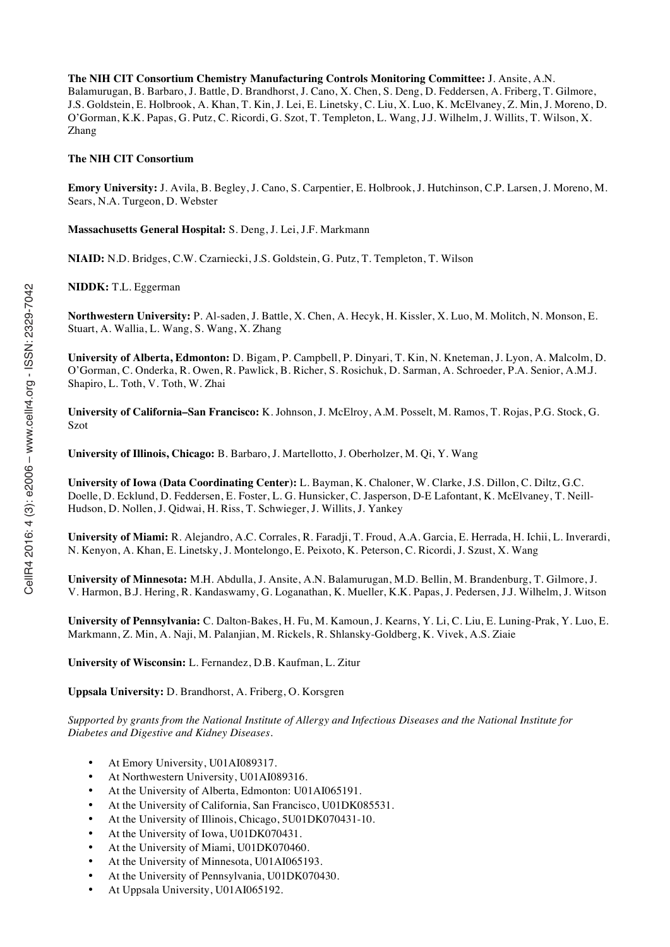**The NIH CIT Consortium Chemistry Manufacturing Controls Monitoring Committee:** J. Ansite, A.N. Balamurugan, B. Barbaro, J. Battle, D. Brandhorst, J. Cano, X. Chen, S. Deng, D. Feddersen, A. Friberg, T. Gilmore, J.S. Goldstein, E. Holbrook, A. Khan, T. Kin, J. Lei, E. Linetsky, C. Liu, X. Luo, K. McElvaney, Z. Min, J. Moreno, D. O'Gorman, K.K. Papas, G. Putz, C. Ricordi, G. Szot, T. Templeton, L. Wang, J.J. Wilhelm, J. Willits, T. Wilson, X. Zhang

#### **The NIH CIT Consortium**

**Emory University:** J. Avila, B. Begley, J. Cano, S. Carpentier, E. Holbrook, J. Hutchinson, C.P. Larsen, J. Moreno, M. Sears, N.A. Turgeon, D. Webster

**Massachusetts General Hospital:** S. Deng, J. Lei, J.F. Markmann

**NIAID:** N.D. Bridges, C.W. Czarniecki, J.S. Goldstein, G. Putz, T. Templeton, T. Wilson

**NIDDK:** T.L. Eggerman

**Northwestern University:** P. Al-saden, J. Battle, X. Chen, A. Hecyk, H. Kissler, X. Luo, M. Molitch, N. Monson, E. Stuart, A. Wallia, L. Wang, S. Wang, X. Zhang

**University of Alberta, Edmonton:** D. Bigam, P. Campbell, P. Dinyari, T. Kin, N. Kneteman, J. Lyon, A. Malcolm, D. O'Gorman, C. Onderka, R. Owen, R. Pawlick, B. Richer, S. Rosichuk, D. Sarman, A. Schroeder, P.A. Senior, A.M.J. Shapiro, L. Toth, V. Toth, W. Zhai

**University of California–San Francisco:** K. Johnson, J. McElroy, A.M. Posselt, M. Ramos, T. Rojas, P.G. Stock, G. Szot

**University of Illinois, Chicago:** B. Barbaro, J. Martellotto, J. Oberholzer, M. Qi, Y. Wang

**University of Iowa (Data Coordinating Center):** L. Bayman, K. Chaloner, W. Clarke, J.S. Dillon, C. Diltz, G.C. Doelle, D. Ecklund, D. Feddersen, E. Foster, L. G. Hunsicker, C. Jasperson, D-E Lafontant, K. McElvaney, T. Neill-Hudson, D. Nollen, J. Qidwai, H. Riss, T. Schwieger, J. Willits, J. Yankey

**University of Miami:** R. Alejandro, A.C. Corrales, R. Faradji, T. Froud, A.A. Garcia, E. Herrada, H. Ichii, L. Inverardi, N. Kenyon, A. Khan, E. Linetsky, J. Montelongo, E. Peixoto, K. Peterson, C. Ricordi, J. Szust, X. Wang

**University of Minnesota:** M.H. Abdulla, J. Ansite, A.N. Balamurugan, M.D. Bellin, M. Brandenburg, T. Gilmore, J. V. Harmon, B.J. Hering, R. Kandaswamy, G. Loganathan, K. Mueller, K.K. Papas, J. Pedersen, J.J. Wilhelm, J. Witson

**University of Pennsylvania:** C. Dalton-Bakes, H. Fu, M. Kamoun, J. Kearns, Y. Li, C. Liu, E. Luning-Prak, Y. Luo, E. Markmann, Z. Min, A. Naji, M. Palanjian, M. Rickels, R. Shlansky-Goldberg, K. Vivek, A.S. Ziaie

**University of Wisconsin:** L. Fernandez, D.B. Kaufman, L. Zitur

**Uppsala University:** D. Brandhorst, A. Friberg, O. Korsgren

*Supported by grants from the National Institute of Allergy and Infectious Diseases and the National Institute for Diabetes and Digestive and Kidney Diseases.*

- At Emory University, U01AI089317.
- At Northwestern University, U01AI089316.
- At the University of Alberta, Edmonton: U01AI065191.
- At the University of California, San Francisco, U01DK085531.
- At the University of Illinois, Chicago, 5U01DK070431-10.
- At the University of Iowa, U01DK070431.
- At the University of Miami, U01DK070460.
- At the University of Minnesota, U01AI065193.
- At the University of Pennsylvania, U01DK070430.
- At Uppsala University, U01AI065192.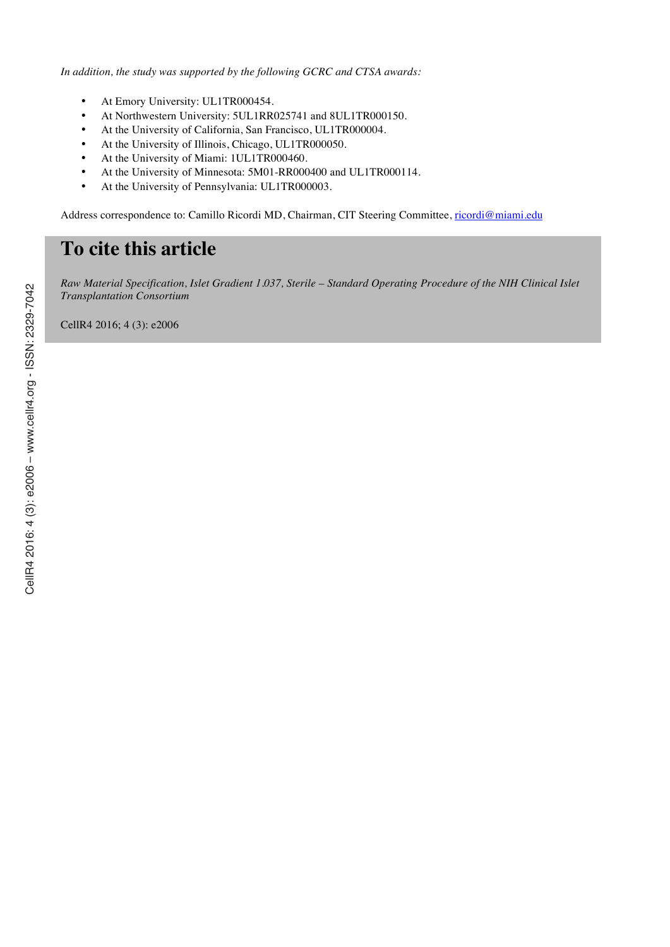*In addition, the study was supported by the following GCRC and CTSA awards:*

- At Emory University: UL1TR000454.
- At Northwestern University: 5UL1RR025741 and 8UL1TR000150.
- At the University of California, San Francisco, UL1TR000004.
- At the University of Illinois, Chicago, UL1TR000050.
- At the University of Miami: 1UL1TR000460.
- At the University of Minnesota: 5M01-RR000400 and UL1TR000114.
- At the University of Pennsylvania: UL1TR000003.

Address correspondence to: Camillo Ricordi MD, Chairman, CIT Steering Committee, ricordi@miami.edu

# **To cite this article**

*Raw Material Specification, Islet Gradient 1.037, Sterile – Standard Operating Procedure of the NIH Clinical Islet Transplantation Consortium*

CellR4 2016; 4 (3): e2006